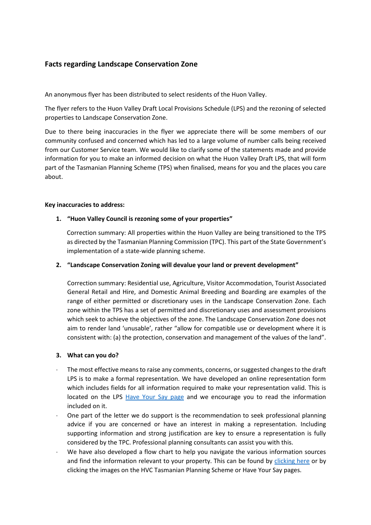# **Facts regarding Landscape Conservation Zone**

An anonymous flyer has been distributed to select residents of the Huon Valley.

The flyer refers to the Huon Valley Draft Local Provisions Schedule (LPS) and the rezoning of selected properties to Landscape Conservation Zone.

Due to there being inaccuracies in the flyer we appreciate there will be some members of our community confused and concerned which has led to a large volume of number calls being received from our Customer Service team. We would like to clarify some of the statements made and provide information for you to make an informed decision on what the Huon Valley Draft LPS, that will form part of the Tasmanian Planning Scheme (TPS) when finalised, means for you and the places you care about.

#### **Key inaccuracies to address:**

#### **1. "Huon Valley Council is rezoning some of your properties"**

Correction summary: All properties within the Huon Valley are being transitioned to the TPS as directed by the Tasmanian Planning Commission (TPC). This part of the State Government's implementation of a state-wide planning scheme.

#### **2. "Landscape Conservation Zoning will devalue your land or prevent development"**

Correction summary: Residential use, Agriculture, Visitor Accommodation, Tourist Associated General Retail and Hire, and Domestic Animal Breeding and Boarding are examples of the range of either permitted or discretionary uses in the Landscape Conservation Zone. Each zone within the TPS has a set of permitted and discretionary uses and assessment provisions which seek to achieve the objectives of the zone. The Landscape Conservation Zone does not aim to render land 'unusable', rather "allow for compatible use or development where it is consistent with: (a) the protection, conservation and management of the values of the land".

#### **3. What can you do?**

- The most effective means to raise any comments, concerns, or suggested changes to the draft LPS is to make a formal representation. We have developed an online representation form which includes fields for all information required to make your representation valid. This is located on the LPS [Have Your Say page](https://www.huonvalley.tas.gov.au/consultations/huon-valley-draft-local-provisions-schedule/) and we encourage you to read the information included on it.
- One part of the letter we do support is the recommendation to seek professional planning advice if you are concerned or have an interest in making a representation. Including supporting information and strong justification are key to ensure a representation is fully considered by the TPC. Professional planning consultants can assist you with this.
- We have also developed a flow chart to help you navigate the various information sources and find the information relevant to your property. This can be found by [clicking here](https://www.huonvalley.tas.gov.au/wp-content/uploads/2022/01/Visio-LPS-flowchart-1.pdf) or by clicking the images on the HVC Tasmanian Planning Scheme or Have Your Say pages.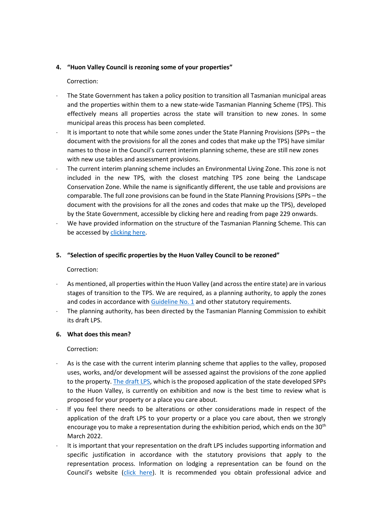## **4. "Huon Valley Council is rezoning some of your properties"**

# Correction:

- The State Government has taken a policy position to transition all Tasmanian municipal areas and the properties within them to a new state-wide Tasmanian Planning Scheme (TPS). This effectively means all properties across the state will transition to new zones. In some municipal areas this process has been completed.
- It is important to note that while some zones under the State Planning Provisions (SPPs the document with the provisions for all the zones and codes that make up the TPS) have similar names to those in the Council's current interim planning scheme, these are still new zones with new use tables and assessment provisions.
- The current interim planning scheme includes an Environmental Living Zone. This zone is not included in the new TPS, with the closest matching TPS zone being the Landscape Conservation Zone. While the name is significantly different, the use table and provisions are comparable. The full zone provisions can be found in the State Planning Provisions (SPPs – the document with the provisions for all the zones and codes that make up the TPS), developed by the State Government, accessible by [clicking here](https://www.huonvalley.tas.gov.au/wp-content/uploads/2022/01/State_Planning_Provisions.pdf) and reading from page 229 onwards.
- We have provided information on the structure of the Tasmanian Planning Scheme. This can be accessed by [clicking here.](https://www.huonvalley.tas.gov.au/services/planning-2/tasmanian-planning-scheme/?highlight=planning%20)

## **5. "Selection of specific properties by the Huon Valley Council to be rezoned"**

## Correction:

- As mentioned, all properties within the Huon Valley (and across the entire state) are in various stages of transition to the TPS. We are required, as a planning authority, to apply the zones and codes in accordance wit[h Guideline No. 1](https://www.planning.tas.gov.au/__data/assets/pdf_file/0006/583854/Section-8A-Guideline-No.-1-Local-Provisions-Schedule-LPS-zone-and-code-application-version-2.pdf) and other statutory requirements.
- The planning authority, has been directed by the Tasmanian Planning Commission to exhibit its draft LPS.

## **6. What does this mean?**

## Correction:

- As is the case with the current interim planning scheme that applies to the valley, proposed uses, works, and/or development will be assessed against the provisions of the zone applied to the property. [The draft LPS,](https://drive.google.com/file/d/1FCtyNJ2FkQ9H8NajF8yQXjWWa23dcz4S/view) which is the proposed application of the state developed SPPs to the Huon Valley, is currently on exhibition and now is the best time to review what is proposed for your property or a place you care about.
- If you feel there needs to be alterations or other considerations made in respect of the application of the draft LPS to your property or a place you care about, then we strongly encourage you to make a representation during the exhibition period, which ends on the 30<sup>th</sup> March 2022.
- It is important that your representation on the draft LPS includes supporting information and specific justification in accordance with the statutory provisions that apply to the representation process. Information on lodging a representation can be found on the Council's website [\(click here\)](https://www.huonvalley.tas.gov.au/consultations/huon-valley-draft-local-provisions-schedule/). It is recommended you obtain professional advice and